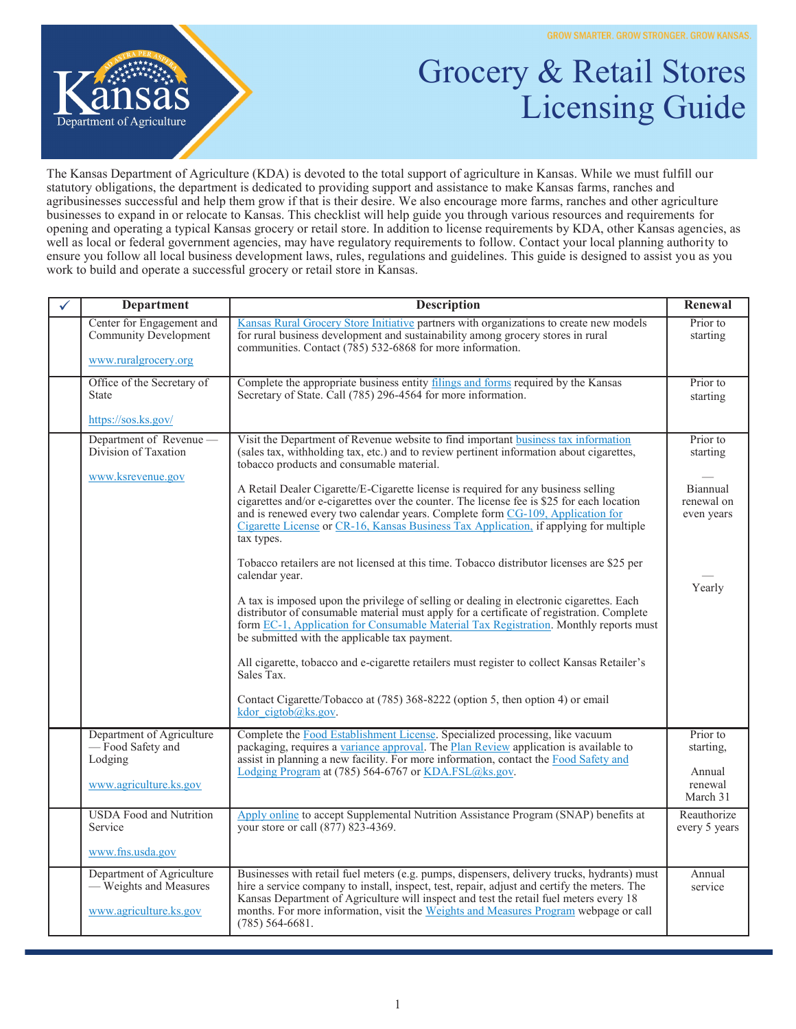

## Grocery & Retail Stores Licensing Guide

The Kansas Department of Agriculture (KDA) is devoted to the total support of agriculture in Kansas. While we must fulfill our statutory obligations, the department is dedicated to providing support and assistance to make Kansas farms, ranches and agribusinesses successful and help them grow if that is their desire. We also encourage more farms, ranches and other agriculture businesses to expand in or relocate to Kansas. This checklist will help guide you through various resources and requirements for opening and operating a typical Kansas grocery or retail store. In addition to license requirements by KDA, other Kansas agencies, as well as local or federal government agencies, may have regulatory requirements to follow. Contact your local planning authority to ensure you follow all local business development laws, rules, regulations and guidelines. This guide is designed to assist you as you work to build and operate a successful grocery or retail store in Kansas.

| <b>Department</b>                                                             | <b>Description</b>                                                                                                                                                                                                                                                                                                                                                                                 | Renewal                              |
|-------------------------------------------------------------------------------|----------------------------------------------------------------------------------------------------------------------------------------------------------------------------------------------------------------------------------------------------------------------------------------------------------------------------------------------------------------------------------------------------|--------------------------------------|
| Center for Engagement and<br><b>Community Development</b>                     | Kansas Rural Grocery Store Initiative partners with organizations to create new models<br>for rural business development and sustainability among grocery stores in rural<br>communities. Contact $(785)$ 532-6868 for more information.                                                                                                                                                           | Prior to<br>starting                 |
| www.ruralgrocery.org                                                          |                                                                                                                                                                                                                                                                                                                                                                                                    |                                      |
| Office of the Secretary of<br><b>State</b>                                    | Complete the appropriate business entity filings and forms required by the Kansas<br>Secretary of State. Call (785) 296-4564 for more information.                                                                                                                                                                                                                                                 | Prior to<br>starting                 |
| https://sos.ks.gov/                                                           |                                                                                                                                                                                                                                                                                                                                                                                                    |                                      |
| Department of Revenue —<br>Division of Taxation<br>www.ksrevenue.gov          | Visit the Department of Revenue website to find important business tax information<br>(sales tax, withholding tax, etc.) and to review pertinent information about cigarettes,<br>tobacco products and consumable material.                                                                                                                                                                        | Prior to<br>starting                 |
|                                                                               | A Retail Dealer Cigarette/E-Cigarette license is required for any business selling<br>cigarettes and/or e-cigarettes over the counter. The license fee is \$25 for each location<br>and is renewed every two calendar years. Complete form CG-109, Application for<br>Cigarette License or CR-16, Kansas Business Tax Application, if applying for multiple<br>tax types.                          | Biannual<br>renewal on<br>even years |
|                                                                               | Tobacco retailers are not licensed at this time. Tobacco distributor licenses are \$25 per<br>calendar year.                                                                                                                                                                                                                                                                                       | Yearly                               |
|                                                                               | A tax is imposed upon the privilege of selling or dealing in electronic cigarettes. Each<br>distributor of consumable material must apply for a certificate of registration. Complete<br>form EC-1, Application for Consumable Material Tax Registration. Monthly reports must<br>be submitted with the applicable tax payment.                                                                    |                                      |
|                                                                               | All cigarette, tobacco and e-cigarette retailers must register to collect Kansas Retailer's<br>Sales Tax.                                                                                                                                                                                                                                                                                          |                                      |
|                                                                               | Contact Cigarette/Tobacco at (785) 368-8222 (option 5, then option 4) or email<br>kdor cigtob@ks.gov.                                                                                                                                                                                                                                                                                              |                                      |
| Department of Agriculture<br>-Food Safety and<br>Lodging                      | Complete the Food Establishment License. Specialized processing, like vacuum<br>packaging, requires a variance approval. The Plan Review application is available to<br>assist in planning a new facility. For more information, contact the Food Safety and                                                                                                                                       | Prior to<br>starting,                |
| www.agriculture.ks.gov                                                        | Lodging Program at (785) 564-6767 or KDA.FSL@ks.gov.                                                                                                                                                                                                                                                                                                                                               | Annual<br>renewal<br>March 31        |
| <b>USDA Food and Nutrition</b><br>Service                                     | Apply online to accept Supplemental Nutrition Assistance Program (SNAP) benefits at<br>your store or call (877) 823-4369.                                                                                                                                                                                                                                                                          | Reauthorize<br>every 5 years         |
| www.fns.usda.gov                                                              |                                                                                                                                                                                                                                                                                                                                                                                                    |                                      |
| Department of Agriculture<br>- Weights and Measures<br>www.agriculture.ks.gov | Businesses with retail fuel meters (e.g. pumps, dispensers, delivery trucks, hydrants) must<br>hire a service company to install, inspect, test, repair, adjust and certify the meters. The<br>Kansas Department of Agriculture will inspect and test the retail fuel meters every 18<br>months. For more information, visit the Weights and Measures Program webpage or call<br>$(785)$ 564-6681. | Annual<br>service                    |